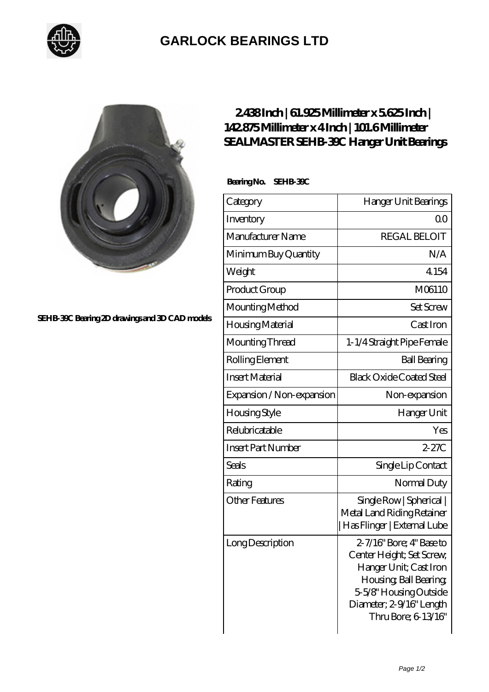

## **[GARLOCK BEARINGS LTD](https://m.letterstopriests.com)**



**[SEHB-39C Bearing 2D drawings and 3D CAD models](https://m.letterstopriests.com/pic-189005.html)**

## **[2.438 Inch | 61.925 Millimeter x 5.625 Inch |](https://m.letterstopriests.com/bs-189005-sealmaster-sehb-39c-hanger-unit-bearings.html) [142.875 Millimeter x 4 Inch | 101.6 Millimeter](https://m.letterstopriests.com/bs-189005-sealmaster-sehb-39c-hanger-unit-bearings.html) [SEALMASTER SEHB-39C Hanger Unit Bearings](https://m.letterstopriests.com/bs-189005-sealmaster-sehb-39c-hanger-unit-bearings.html)**

 **Bearing No. SEHB-39C**

| Category                  | Hanger Unit Bearings                                                                                                                                                                   |
|---------------------------|----------------------------------------------------------------------------------------------------------------------------------------------------------------------------------------|
| Inventory                 | Q0                                                                                                                                                                                     |
| Manufacturer Name         | <b>REGAL BELOIT</b>                                                                                                                                                                    |
| Minimum Buy Quantity      | N/A                                                                                                                                                                                    |
| Weight                    | 4.154                                                                                                                                                                                  |
| Product Group             | M06110                                                                                                                                                                                 |
| Mounting Method           | <b>Set Screw</b>                                                                                                                                                                       |
| Housing Material          | Cast Iron                                                                                                                                                                              |
| Mounting Thread           | 1-1/4 Straight Pipe Female                                                                                                                                                             |
| Rolling Element           | <b>Ball Bearing</b>                                                                                                                                                                    |
| <b>Insert Material</b>    | <b>Black Oxide Coated Steel</b>                                                                                                                                                        |
| Expansion / Non-expansion | Non-expansion                                                                                                                                                                          |
| <b>Housing Style</b>      | Hanger Unit                                                                                                                                                                            |
| Relubricatable            | Yes                                                                                                                                                                                    |
| <b>Insert Part Number</b> | $2 - 27C$                                                                                                                                                                              |
| Seals                     | Single Lip Contact                                                                                                                                                                     |
| Rating                    | Normal Duty                                                                                                                                                                            |
| <b>Other Features</b>     | Single Row   Spherical  <br>Metal Land Riding Retainer<br>  Has Flinger   External Lube                                                                                                |
| Long Description          | 2-7/16" Bore; 4" Base to<br>Center Height; Set Screw,<br>Hanger Unit; Cast Iron<br>Housing, Ball Bearing,<br>5-5/8" Housing Outside<br>Diameter; 2-9/16" Length<br>Thru Bore; 6 13/16" |